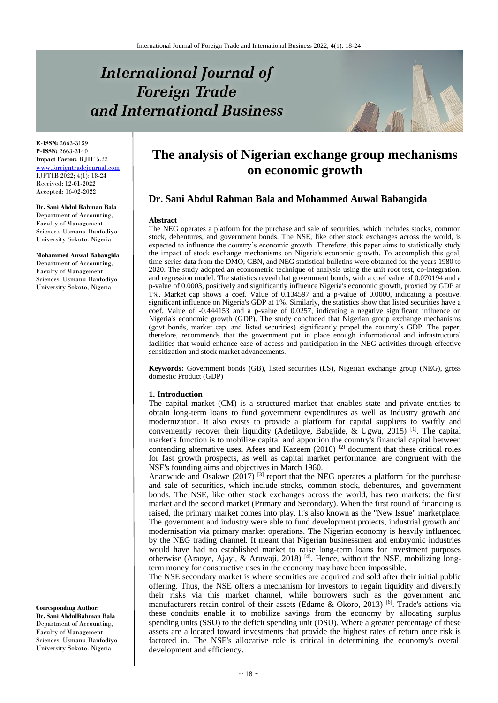# **International Journal of Foreign Trade** and International Business



**E-ISSN:** 2663-3159 **P-ISSN:** 2663-3140 **Impact Factor:** RJIF 5.22 [www.foreigntradejournal.com](http://www.foreigntradejournal.com/) IJFTIB 2022; 4(1): 18-24 Received: 12-01-2022 Accepted: 16-02-2022

#### **Dr. Sani Abdul Rahman Bala** Department of Accounting,

Faculty of Management Sciences, Usmanu Danfodiyo University Sokoto. Nigeria

**Mohammed Auwal Babangida** Department of Accounting, Faculty of Management Sciences, Usmanu Danfodiyo University Sokoto, Nigeria

**Corresponding Author: Dr. Sani AbdulRahman Bala** Department of Accounting, Faculty of Management Sciences, Usmanu Danfodiyo University Sokoto. Nigeria

# **The analysis of Nigerian exchange group mechanisms on economic growth**

# **Dr. Sani Abdul Rahman Bala and Mohammed Auwal Babangida**

#### **Abstract**

The NEG operates a platform for the purchase and sale of securities, which includes stocks, common stock, debentures, and government bonds. The NSE, like other stock exchanges across the world, is expected to influence the country's economic growth. Therefore, this paper aims to statistically study the impact of stock exchange mechanisms on Nigeria's economic growth. To accomplish this goal, time-series data from the DMO, CBN, and NEG statistical bulletins were obtained for the years 1980 to 2020. The study adopted an econometric technique of analysis using the unit root test, co-integration, and regression model. The statistics reveal that government bonds, with a coef value of 0.070194 and a p-value of 0.0003, positively and significantly influence Nigeria's economic growth, proxied by GDP at 1%. Market cap shows a coef. Value of 0.134597 and a p-value of 0.0000, indicating a positive, significant influence on Nigeria's GDP at 1%. Similarly, the statistics show that listed securities have a coef. Value of -0.444153 and a p-value of 0.0257, indicating a negative significant influence on Nigeria's economic growth (GDP). The study concluded that Nigerian group exchange mechanisms (govt bonds, market cap. and listed securities) significantly propel the country's GDP. The paper, therefore, recommends that the government put in place enough informational and infrastructural facilities that would enhance ease of access and participation in the NEG activities through effective sensitization and stock market advancements.

**Keywords:** Government bonds (GB), listed securities (LS), Nigerian exchange group (NEG), gross domestic Product (GDP)

### **1. Introduction**

The capital market (CM) is a structured market that enables state and private entities to obtain long-term loans to fund government expenditures as well as industry growth and modernization. It also exists to provide a platform for capital suppliers to swiftly and conveniently recover their liquidity (Adetiloye, Babajide, & Ugwu, 2015)<sup>[1]</sup>. The capital market's function is to mobilize capital and apportion the country's financial capital between contending alternative uses. Afees and Kazeem  $(2010)$ <sup>[2]</sup> document that these critical roles for fast growth prospects, as well as capital market performance, are congruent with the NSE's founding aims and objectives in March 1960.

Ananwude and Osakwe  $(2017)$ <sup>[3]</sup> report that the NEG operates a platform for the purchase and sale of securities, which include stocks, common stock, debentures, and government bonds. The NSE, like other stock exchanges across the world, has two markets: the first market and the second market (Primary and Secondary). When the first round of financing is raised, the primary market comes into play. It's also known as the "New Issue" marketplace. The government and industry were able to fund development projects, industrial growth and modernisation via primary market operations. The Nigerian economy is heavily influenced by the NEG trading channel. It meant that Nigerian businessmen and embryonic industries would have had no established market to raise long-term loans for investment purposes otherwise (Araoye, Ajayi, & Aruwaji, 2018)<sup>[4]</sup>. Hence, without the NSE, mobilizing longterm money for constructive uses in the economy may have been impossible.

The NSE secondary market is where securities are acquired and sold after their initial public offering. Thus, the NSE offers a mechanism for investors to regain liquidity and diversify their risks via this market channel, while borrowers such as the government and manufacturers retain control of their assets (Edame & Okoro, 2013)<sup>[6]</sup>. Trade's actions via these conduits enable it to mobilize savings from the economy by allocating surplus spending units (SSU) to the deficit spending unit (DSU). Where a greater percentage of these assets are allocated toward investments that provide the highest rates of return once risk is factored in. The NSE's allocative role is critical in determining the economy's overall development and efficiency.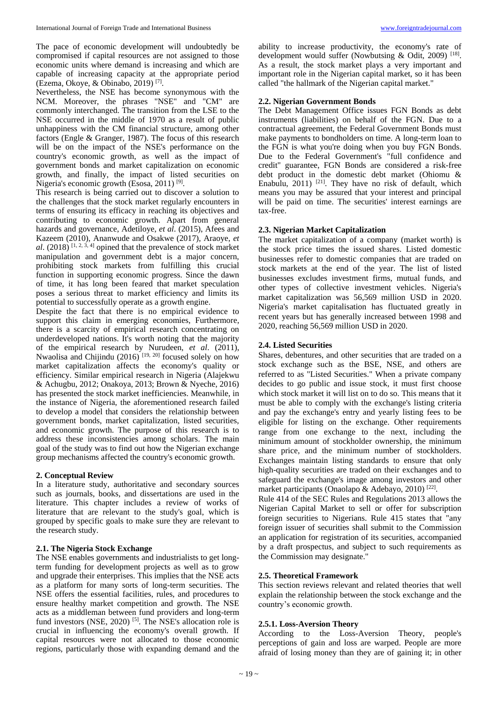The pace of economic development will undoubtedly be compromised if capital resources are not assigned to those economic units where demand is increasing and which are capable of increasing capacity at the appropriate period (Ezema, Okoye, & Obinabo, 2019) [7] .

Nevertheless, the NSE has become synonymous with the NCM. Moreover, the phrases "NSE" and "CM" are commonly interchanged. The transition from the LSE to the NSE occurred in the middle of 1970 as a result of public unhappiness with the CM financial structure, among other factors (Engle & Granger, 1987). The focus of this research will be on the impact of the NSE's performance on the country's economic growth, as well as the impact of government bonds and market capitalization on economic growth, and finally, the impact of listed securities on Nigeria's economic growth (Esosa, 2011)<sup>[9]</sup>.

This research is being carried out to discover a solution to the challenges that the stock market regularly encounters in terms of ensuring its efficacy in reaching its objectives and contributing to economic growth. Apart from general hazards and governance, Adetiloye, *et al*. (2015), Afees and Kazeem (2010), Ananwude and Osakwe (2017), Araoye, *et*   $al.$  (2018)<sup>[1, 2, 3, 4]</sup> opined that the prevalence of stock market manipulation and government debt is a major concern, prohibiting stock markets from fulfilling this crucial function in supporting economic progress. Since the dawn of time, it has long been feared that market speculation poses a serious threat to market efficiency and limits its potential to successfully operate as a growth engine.

Despite the fact that there is no empirical evidence to support this claim in emerging economies, Furthermore, there is a scarcity of empirical research concentrating on underdeveloped nations. It's worth noting that the majority of the empirical research by Nurudeen, *et al*. (2011), Nwaolisa and Chijindu (2016) [19, 20] focused solely on how market capitalization affects the economy's quality or efficiency. Similar empirical research in Nigeria (Alajekwu & Achugbu, 2012; Onakoya, 2013; Brown & Nyeche, 2016) has presented the stock market inefficiencies. Meanwhile, in the instance of Nigeria, the aforementioned research failed to develop a model that considers the relationship between government bonds, market capitalization, listed securities, and economic growth. The purpose of this research is to address these inconsistencies among scholars. The main goal of the study was to find out how the Nigerian exchange group mechanisms affected the country's economic growth.

# **2. Conceptual Review**

In a literature study, authoritative and secondary sources such as journals, books, and dissertations are used in the literature. This chapter includes a review of works of literature that are relevant to the study's goal, which is grouped by specific goals to make sure they are relevant to the research study.

### **2.1. The Nigeria Stock Exchange**

The NSE enables governments and industrialists to get longterm funding for development projects as well as to grow and upgrade their enterprises. This implies that the NSE acts as a platform for many sorts of long-term securities. The NSE offers the essential facilities, rules, and procedures to ensure healthy market competition and growth. The NSE acts as a middleman between fund providers and long-term fund investors (NSE,  $2020$ )<sup>[5]</sup>. The NSE's allocation role is crucial in influencing the economy's overall growth. If capital resources were not allocated to those economic regions, particularly those with expanding demand and the

ability to increase productivity, the economy's rate of development would suffer (Nowbutsing & Odit, 2009)<sup>[18]</sup>. As a result, the stock market plays a very important and important role in the Nigerian capital market, so it has been called "the hallmark of the Nigerian capital market."

# **2.2. Nigerian Government Bonds**

The Debt Management Office issues FGN Bonds as debt instruments (liabilities) on behalf of the FGN. Due to a contractual agreement, the Federal Government Bonds must make payments to bondholders on time. A long-term loan to the FGN is what you're doing when you buy FGN Bonds. Due to the Federal Government's "full confidence and credit" guarantee, FGN Bonds are considered a risk-free debt product in the domestic debt market (Ohiomu & Enabulu,  $2011$ )<sup>[21]</sup>. They have no risk of default, which means you may be assured that your interest and principal will be paid on time. The securities' interest earnings are tax-free.

# **2.3. Nigerian Market Capitalization**

The market capitalization of a company (market worth) is the stock price times the issued shares. Listed domestic businesses refer to domestic companies that are traded on stock markets at the end of the year. The list of listed businesses excludes investment firms, mutual funds, and other types of collective investment vehicles. Nigeria's market capitalization was 56,569 million USD in 2020. Nigeria's market capitalisation has fluctuated greatly in recent years but has generally increased between 1998 and 2020, reaching 56,569 million USD in 2020.

# **2.4. Listed Securities**

Shares, debentures, and other securities that are traded on a stock exchange such as the BSE, NSE, and others are referred to as "Listed Securities." When a private company decides to go public and issue stock, it must first choose which stock market it will list on to do so. This means that it must be able to comply with the exchange's listing criteria and pay the exchange's entry and yearly listing fees to be eligible for listing on the exchange. Other requirements range from one exchange to the next, including the minimum amount of stockholder ownership, the minimum share price, and the minimum number of stockholders. Exchanges maintain listing standards to ensure that only high-quality securities are traded on their exchanges and to safeguard the exchange's image among investors and other market participants (Onaolapo & Adebayo, 2010)<sup>[22]</sup>.

Rule 414 of the SEC Rules and Regulations 2013 allows the Nigerian Capital Market to sell or offer for subscription foreign securities to Nigerians. Rule 415 states that "any foreign issuer of securities shall submit to the Commission an application for registration of its securities, accompanied by a draft prospectus, and subject to such requirements as the Commission may designate."

# **2.5. Theoretical Framework**

This section reviews relevant and related theories that well explain the relationship between the stock exchange and the country's economic growth.

# **2.5.1. Loss-Aversion Theory**

According to the Loss-Aversion Theory, people's perceptions of gain and loss are warped. People are more afraid of losing money than they are of gaining it; in other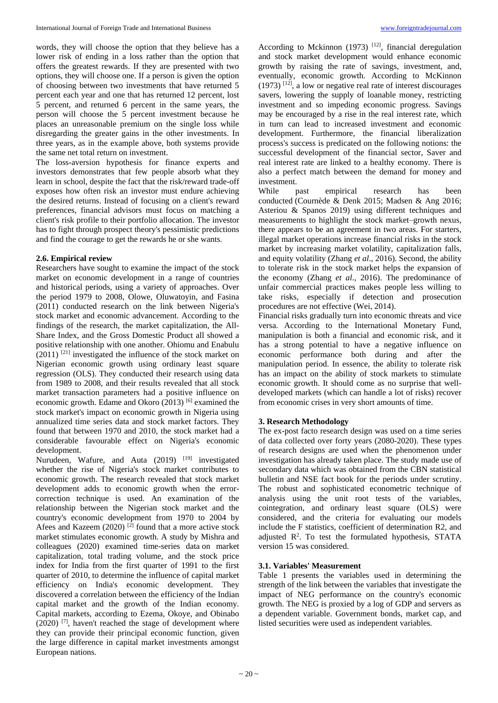words, they will choose the option that they believe has a lower risk of ending in a loss rather than the option that offers the greatest rewards. If they are presented with two options, they will choose one. If a person is given the option of choosing between two investments that have returned 5 percent each year and one that has returned 12 percent, lost 5 percent, and returned 6 percent in the same years, the person will choose the 5 percent investment because he places an unreasonable premium on the single loss while disregarding the greater gains in the other investments. In three years, as in the example above, both systems provide the same net total return on investment.

The loss-aversion hypothesis for finance experts and investors demonstrates that few people absorb what they learn in school, despite the fact that the risk/reward trade-off exposes how often risk an investor must endure achieving the desired returns. Instead of focusing on a client's reward preferences, financial advisors must focus on matching a client's risk profile to their portfolio allocation. The investor has to fight through prospect theory's pessimistic predictions and find the courage to get the rewards he or she wants.

# **2.6. Empirical review**

Researchers have sought to examine the impact of the stock market on economic development in a range of countries and historical periods, using a variety of approaches. Over the period 1979 to 2008, Olowe, Oluwatoyin, and Fasina (2011) conducted research on the link between Nigeria's stock market and economic advancement. According to the findings of the research, the market capitalization, the All-Share Index, and the Gross Domestic Product all showed a positive relationship with one another. Ohiomu and Enabulu  $(2011)$ <sup>[21]</sup> investigated the influence of the stock market on Nigerian economic growth using ordinary least square regression (OLS). They conducted their research using data from 1989 to 2008, and their results revealed that all stock market transaction parameters had a positive influence on economic growth. Edame and Okoro (2013) [6] examined the stock market's impact on economic growth in Nigeria using annualized time series data and stock market factors. They found that between 1970 and 2010, the stock market had a considerable favourable effect on Nigeria's economic development.

Nurudeen, Wafure, and Auta (2019) <sup>[19]</sup> investigated whether the rise of Nigeria's stock market contributes to economic growth. The research revealed that stock market development adds to economic growth when the errorcorrection technique is used. An examination of the relationship between the Nigerian stock market and the country's economic development from 1970 to 2004 by Afees and Kazeem (2020)  $^{[2]}$  found that a more active stock market stimulates economic growth. A study by Mishra and colleagues (2020) examined time-series data on market capitalization, total trading volume, and the stock price index for India from the first quarter of 1991 to the first quarter of 2010, to determine the influence of capital market efficiency on India's economic development. They discovered a correlation between the efficiency of the Indian capital market and the growth of the Indian economy. Capital markets, according to Ezema, Okoye, and Obinabo  $(2020)$  [7], haven't reached the stage of development where they can provide their principal economic function, given the large difference in capital market investments amongst European nations.

According to Mckinnon  $(1973)$ <sup>[12]</sup>, financial deregulation and stock market development would enhance economic growth by raising the rate of savings, investment, and, eventually, economic growth. According to McKinnon  $(1973)$ <sup>[12]</sup>, a low or negative real rate of interest discourages savers, lowering the supply of loanable money, restricting investment and so impeding economic progress. Savings may be encouraged by a rise in the real interest rate, which in turn can lead to increased investment and economic development. Furthermore, the financial liberalization process's success is predicated on the following notions: the successful development of the financial sector, Saver and real interest rate are linked to a healthy economy. There is also a perfect match between the demand for money and investment.

While past empirical research has been conducted (Cournède & Denk 2015; Madsen & Ang 2016; Asteriou & Spanos 2019) using different techniques and measurements to highlight the stock market–growth nexus, there appears to be an agreement in two areas. For starters, illegal market operations increase financial risks in the stock market by increasing market volatility, capitalization falls, and equity volatility (Zhang *et al*., 2016). Second, the ability to tolerate risk in the stock market helps the expansion of the economy (Zhang *et al*., 2016). The predominance of unfair commercial practices makes people less willing to take risks, especially if detection and prosecution procedures are not effective (Wei, 2014).

Financial risks gradually turn into economic threats and vice versa. According to the International Monetary Fund, manipulation is both a financial and economic risk, and it has a strong potential to have a negative influence on economic performance both during and after the manipulation period. In essence, the ability to tolerate risk has an impact on the ability of stock markets to stimulate economic growth. It should come as no surprise that welldeveloped markets (which can handle a lot of risks) recover from economic crises in very short amounts of time.

# **3. Research Methodology**

The ex-post facto research design was used on a time series of data collected over forty years (2080-2020). These types of research designs are used when the phenomenon under investigation has already taken place. The study made use of secondary data which was obtained from the CBN statistical bulletin and NSE fact book for the periods under scrutiny. The robust and sophisticated econometric technique of analysis using the unit root tests of the variables, cointegration, and ordinary least square (OLS) were considered, and the criteria for evaluating our models include the F statistics, coefficient of determination R2, and adjusted  $R^2$ . To test the formulated hypothesis, STATA version 15 was considered.

# **3.1. Variables' Measurement**

Table 1 presents the variables used in determining the strength of the link between the variables that investigate the impact of NEG performance on the country's economic growth. The NEG is proxied by a log of GDP and servers as a dependent variable. Government bonds, market cap, and listed securities were used as independent variables.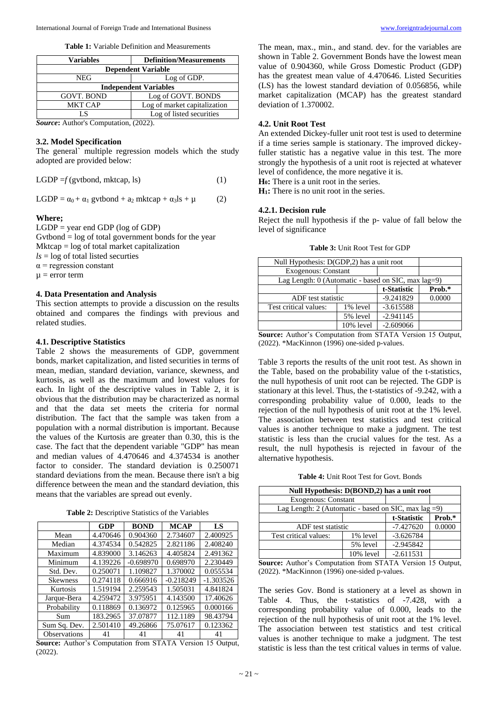**Table 1:** Variable Definition and Measurements

| Variables                    | <b>Definition/Measurements</b> |  |  |
|------------------------------|--------------------------------|--|--|
| <b>Dependent Variable</b>    |                                |  |  |
| NEG                          | Log of GDP.                    |  |  |
| <b>Independent Variables</b> |                                |  |  |
| <b>GOVT. BOND</b>            | Log of GOVT. BONDS             |  |  |
| <b>MKT CAP</b>               | Log of market capitalization   |  |  |
| LS                           | Log of listed securities       |  |  |

*Source***:** Author's Computation, (2022).

# **3.2. Model Specification**

The general` multiple regression models which the study adopted are provided below:

LGDP  $=f$  (gvtbond, mktcap, ls) (1)

LGDP =  $\alpha_0$  +  $\alpha_1$  gvtbond +  $\alpha_2$  mktcap +  $\alpha_3$ ls +  $\mu$  (2)

### **Where;**

 $LGDP = year$  end  $GDP$  (log of  $GDP$ )  $Gv<sub>th</sub> = log of total government bonds for the year$  $Mkcap = log of total market capitalization$  $ls = log of total listed securities$  $\alpha$  = regression constant  $\mu$  = error term

## **4. Data Presentation and Analysis**

This section attempts to provide a discussion on the results obtained and compares the findings with previous and related studies.

#### **4.1. Descriptive Statistics**

Table 2 shows the measurements of GDP, government bonds, market capitalization, and listed securities in terms of mean, median, standard deviation, variance, skewness, and kurtosis, as well as the maximum and lowest values for each. In light of the descriptive values in Table 2, it is obvious that the distribution may be characterized as normal and that the data set meets the criteria for normal distribution. The fact that the sample was taken from a population with a normal distribution is important. Because the values of the Kurtosis are greater than 0.30, this is the case. The fact that the dependent variable "GDP" has mean and median values of 4.470646 and 4.374534 is another factor to consider. The standard deviation is 0.250071 standard deviations from the mean. Because there isn't a big difference between the mean and the standard deviation, this means that the variables are spread out evenly.

**Table 2:** Descriptive Statistics of the Variables

|                 | GDP      | <b>BOND</b> | <b>MCAP</b> | LS          |
|-----------------|----------|-------------|-------------|-------------|
| Mean            | 4.470646 | 0.904360    | 2.734607    | 2.400925    |
| Median          | 4.374534 | 0.542825    | 2.821186    | 2.408240    |
| Maximum         | 4.839000 | 3.146263    | 4.405824    | 2.491362    |
| Minimum         | 4.139226 | $-0.698970$ | 0.698970    | 2.230449    |
| Std. Dev.       | 0.250071 | 1.109827    | 1.370002    | 0.055534    |
| <b>Skewness</b> | 0.274118 | 0.666916    | $-0.218249$ | $-1.303526$ |
| Kurtosis        | 1.519194 | 2.259543    | 1.505031    | 4.841824    |
| Jarque-Bera     | 4.259472 | 3.975951    | 4.143500    | 17.40626    |
| Probability     | 0.118869 | 0.136972    | 0.125965    | 0.000166    |
| Sum             | 183.2965 | 37.07877    | 112.1189    | 98.43794    |
| Sum Sq. Dev.    | 2.501410 | 49.26866    | 75.07617    | 0.123362    |
| Observations    | 41       | 41          | 41          | 41          |

**Source:** Author's Computation from STATA Version 15 Output, (2022).

The mean, max., min., and stand. dev. for the variables are shown in Table 2. Government Bonds have the lowest mean value of 0.904360, while Gross Domestic Product (GDP) has the greatest mean value of 4.470646. Listed Securities (LS) has the lowest standard deviation of 0.056856, while market capitalization (MCAP) has the greatest standard deviation of 1.370002.

# **4.2. Unit Root Test**

An extended Dickey-fuller unit root test is used to determine if a time series sample is stationary. The improved dickeyfuller statistic has a negative value in this test. The more strongly the hypothesis of a unit root is rejected at whatever level of confidence, the more negative it is.

**H0:** There is a unit root in the series.

**H1:** There is no unit root in the series.

#### **4.2.1. Decision rule**

Reject the null hypothesis if the p- value of fall below the level of significance

| Null Hypothesis: D(GDP,2) has a unit root           |             |             |        |
|-----------------------------------------------------|-------------|-------------|--------|
| <b>Exogenous: Constant</b>                          |             |             |        |
| Lag Length: 0 (Automatic - based on SIC, max lag=9) |             |             |        |
|                                                     | t-Statistic | Prob.*      |        |
| ADF test statistic                                  |             | $-9.241829$ | 0.0000 |
| Test critical values:<br>1% level                   |             | $-3.615588$ |        |
|                                                     | 5% level    | $-2.941145$ |        |
| 10% level                                           |             | $-2.609066$ |        |

**Source:** Author's Computation from STATA Version 15 Output, (2022). \*MacKinnon (1996) one-sided p-values.

Table 3 reports the results of the unit root test. As shown in the Table, based on the probability value of the t-statistics, the null hypothesis of unit root can be rejected. The GDP is stationary at this level. Thus, the t-statistics of -9.242, with a corresponding probability value of 0.000, leads to the rejection of the null hypothesis of unit root at the 1% level. The association between test statistics and test critical values is another technique to make a judgment. The test statistic is less than the crucial values for the test. As a result, the null hypothesis is rejected in favour of the alternative hypothesis.

**Table 4:** Unit Root Test for Govt. Bonds

| Null Hypothesis: D(BOND,2) has a unit root              |           |             |        |  |
|---------------------------------------------------------|-----------|-------------|--------|--|
| <b>Exogenous: Constant</b>                              |           |             |        |  |
| Lag Length: 2 (Automatic - based on SIC, max $\log 2$ ) |           |             |        |  |
|                                                         |           | t-Statistic | Prob.* |  |
| ADF test statistic                                      |           | $-7.427620$ | 0.0000 |  |
| Test critical values:                                   | 1% level  | $-3.626784$ |        |  |
|                                                         | 5% level  | $-2.945842$ |        |  |
|                                                         | 10% level | $-2.611531$ |        |  |

**Source:** Author's Computation from STATA Version 15 Output, (2022). \*MacKinnon (1996) one-sided p-values.

The series Gov. Bond is stationery at a level as shown in Table 4. Thus, the t-statistics of -7.428, with a corresponding probability value of 0.000, leads to the rejection of the null hypothesis of unit root at the 1% level. The association between test statistics and test critical values is another technique to make a judgment. The test statistic is less than the test critical values in terms of value.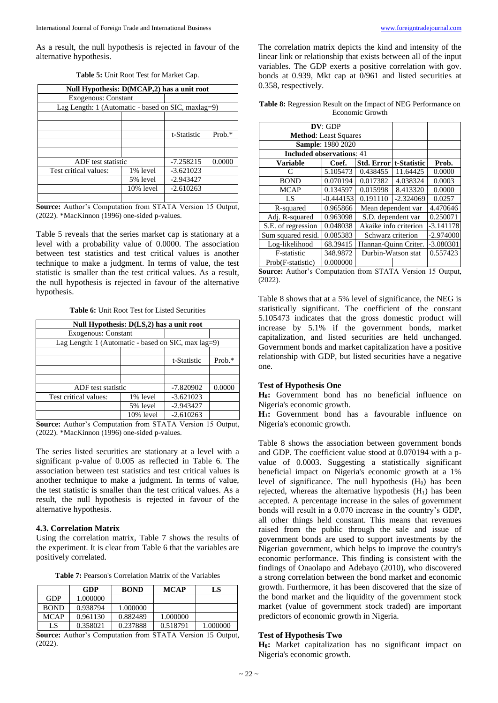As a result, the null hypothesis is rejected in favour of the alternative hypothesis.

| Null Hypothesis: D(MCAP,2) has a unit root         |                            |             |           |  |
|----------------------------------------------------|----------------------------|-------------|-----------|--|
|                                                    | <b>Exogenous: Constant</b> |             |           |  |
| Lag Length: 1 (Automatic - based on SIC, maxlag=9) |                            |             |           |  |
|                                                    |                            |             |           |  |
|                                                    |                            |             |           |  |
|                                                    |                            | t-Statistic | Prob. $*$ |  |
|                                                    |                            |             |           |  |
|                                                    |                            |             |           |  |
|                                                    | ADF test statistic         |             | 0.0000    |  |
| Test critical values:                              | 1% level                   | $-3.621023$ |           |  |
|                                                    | 5% level                   | $-2.943427$ |           |  |
|                                                    | 10% level                  | $-2.610263$ |           |  |
|                                                    |                            |             |           |  |

**Source:** Author's Computation from STATA Version 15 Output, (2022). \*MacKinnon (1996) one-sided p-values.

Table 5 reveals that the series market cap is stationary at a level with a probability value of 0.0000. The association between test statistics and test critical values is another technique to make a judgment. In terms of value, the test statistic is smaller than the test critical values. As a result, the null hypothesis is rejected in favour of the alternative hypothesis.

**Table 6:** Unit Root Test for Listed Securities

| Null Hypothesis: D(LS,2) has a unit root |                                                          |             |           |  |
|------------------------------------------|----------------------------------------------------------|-------------|-----------|--|
|                                          | <b>Exogenous: Constant</b>                               |             |           |  |
|                                          | Lag Length: $1$ (Automatic - based on SIC, max $lag=9$ ) |             |           |  |
|                                          |                                                          |             |           |  |
|                                          |                                                          | t-Statistic | Prob. $*$ |  |
|                                          |                                                          |             |           |  |
|                                          |                                                          |             |           |  |
|                                          | ADF test statistic                                       |             | 0.0000    |  |
| Test critical values:                    | 1% level                                                 | $-3.621023$ |           |  |
|                                          | 5% level                                                 | $-2.943427$ |           |  |
|                                          | 10% level                                                | $-2.610263$ |           |  |

**Source:** Author's Computation from STATA Version 15 Output, (2022). \*MacKinnon (1996) one-sided p-values.

The series listed securities are stationary at a level with a significant p-value of 0.005 as reflected in Table 6. The association between test statistics and test critical values is another technique to make a judgment. In terms of value, the test statistic is smaller than the test critical values. As a result, the null hypothesis is rejected in favour of the alternative hypothesis.

### **4.3. Correlation Matrix**

Using the correlation matrix, Table 7 shows the results of the experiment. It is clear from Table 6 that the variables are positively correlated.

**Table 7:** Pearson's Correlation Matrix of the Variables

|             | GDP      | <b>BOND</b> | <b>MCAP</b> | LS       |
|-------------|----------|-------------|-------------|----------|
| <b>GDP</b>  | 1.000000 |             |             |          |
| <b>BOND</b> | 0.938794 | 1.000000    |             |          |
| <b>MCAP</b> | 0.961130 | 0.882489    | 1.000000    |          |
| LS          | 0.358021 | 0.237888    | 0.518791    | 1.000000 |

**Source:** Author's Computation from STATA Version 15 Output, (2022).

The correlation matrix depicts the kind and intensity of the linear link or relationship that exists between all of the input variables. The GDP exerts a positive correlation with gov. bonds at 0.939, Mkt cap at 0/961 and listed securities at 0.358, respectively.

|                 | <b>Table 8:</b> Regression Result on the Impact of NEG Performance on |
|-----------------|-----------------------------------------------------------------------|
| Economic Growth |                                                                       |

| DV: GDP                          |                          |                       |             |             |
|----------------------------------|--------------------------|-----------------------|-------------|-------------|
| <b>Method:</b> Least Squares     |                          |                       |             |             |
|                                  | <b>Sample: 1980 2020</b> |                       |             |             |
| <b>Included observations: 41</b> |                          |                       |             |             |
| <b>Variable</b>                  | Coef.                    | Std. Error            | t-Statistic | Prob.       |
| €                                | 5.105473                 | 0.438455              | 11.64425    | 0.0000      |
| <b>BOND</b>                      | 0.070194                 | 0.017382              | 4.038324    | 0.0003      |
| <b>MCAP</b>                      | 0.134597                 | 0.015998              | 8.413320    | 0.0000      |
| LS                               | $-0.444153$              | 0.191110              | $-2.324069$ | 0.0257      |
| R-squared                        | 0.965866                 | Mean dependent var    |             | 4.470646    |
| Adj. R-squared                   | 0.963098                 | S.D. dependent var    |             | 0.250071    |
| S.E. of regression               | 0.048038                 | Akaike info criterion |             | $-3.141178$ |
| Sum squared resid.               | 0.085383                 | Schwarz criterion     |             | $-2.974000$ |
| Log-likelihood                   | 68.39415                 | Hannan-Ouinn Criter.  |             | $-3.080301$ |
| F-statistic                      | 348.9872                 | Durbin-Watson stat    |             | 0.557423    |
| Prob(F-statistic)                | 0.000000                 |                       |             |             |

**Source:** Author's Computation from STATA Version 15 Output, (2022).

Table 8 shows that at a 5% level of significance, the NEG is statistically significant. The coefficient of the constant 5.105473 indicates that the gross domestic product will increase by 5.1% if the government bonds, market capitalization, and listed securities are held unchanged. Government bonds and market capitalization have a positive relationship with GDP, but listed securities have a negative one.

### **Test of Hypothesis One**

**H0:** Government bond has no beneficial influence on Nigeria's economic growth.

**H1:** Government bond has a favourable influence on Nigeria's economic growth.

Table 8 shows the association between government bonds and GDP. The coefficient value stood at 0.070194 with a pvalue of 0.0003. Suggesting a statistically significant beneficial impact on Nigeria's economic growth at a 1% level of significance. The null hypothesis  $(H_0)$  has been rejected, whereas the alternative hypothesis  $(H<sub>1</sub>)$  has been accepted. A percentage increase in the sales of government bonds will result in a 0.070 increase in the country's GDP, all other things held constant. This means that revenues raised from the public through the sale and issue of government bonds are used to support investments by the Nigerian government, which helps to improve the country's economic performance. This finding is consistent with the findings of Onaolapo and Adebayo (2010), who discovered a strong correlation between the bond market and economic growth. Furthermore, it has been discovered that the size of the bond market and the liquidity of the government stock market (value of government stock traded) are important predictors of economic growth in Nigeria.

# **Test of Hypothesis Two**

**H0:** Market capitalization has no significant impact on Nigeria's economic growth.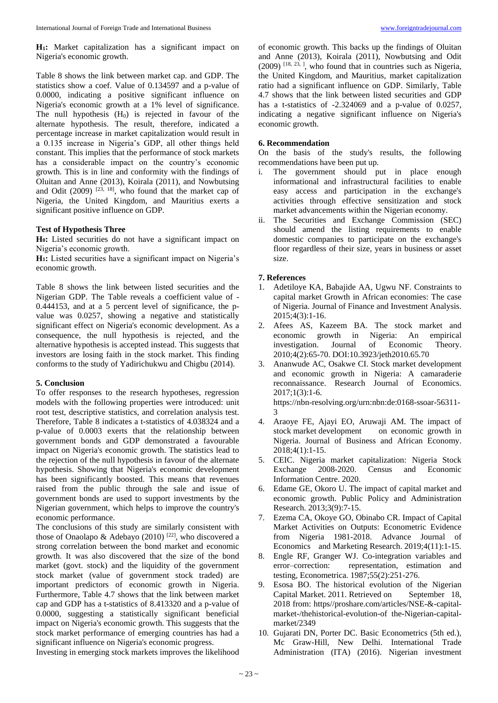**H1:** Market capitalization has a significant impact on Nigeria's economic growth.

Table 8 shows the link between market cap. and GDP. The statistics show a coef. Value of 0.134597 and a p-value of 0.0000, indicating a positive significant influence on Nigeria's economic growth at a 1% level of significance. The null hypothesis  $(H<sub>0</sub>)$  is rejected in favour of the alternate hypothesis. The result, therefore, indicated a percentage increase in market capitalization would result in a 0.135 increase in Nigeria's GDP, all other things held constant. This implies that the performance of stock markets has a considerable impact on the country's economic growth. This is in line and conformity with the findings of Oluitan and Anne (2013), Koirala (2011), and Nowbutsing and Odit  $(2009)$  <sup>[23, 18]</sup>, who found that the market cap of Nigeria, the United Kingdom, and Mauritius exerts a significant positive influence on GDP.

# **Test of Hypothesis Three**

**H0:** Listed securities do not have a significant impact on Nigeria's economic growth.

**H1:** Listed securities have a significant impact on Nigeria's economic growth.

Table 8 shows the link between listed securities and the Nigerian GDP. The Table reveals a coefficient value of - 0.444153, and at a 5 percent level of significance, the pvalue was 0.0257, showing a negative and statistically significant effect on Nigeria's economic development. As a consequence, the null hypothesis is rejected, and the alternative hypothesis is accepted instead. This suggests that investors are losing faith in the stock market. This finding conforms to the study of Yadirichukwu and Chigbu (2014).

### **5. Conclusion**

To offer responses to the research hypotheses, regression models with the following properties were introduced: unit root test, descriptive statistics, and correlation analysis test. Therefore, Table 8 indicates a t-statistics of 4.038324 and a p-value of 0.0003 exerts that the relationship between government bonds and GDP demonstrated a favourable impact on Nigeria's economic growth. The statistics lead to the rejection of the null hypothesis in favour of the alternate hypothesis. Showing that Nigeria's economic development has been significantly boosted. This means that revenues raised from the public through the sale and issue of government bonds are used to support investments by the Nigerian government, which helps to improve the country's economic performance.

The conclusions of this study are similarly consistent with those of Onaolapo & Adebayo (2010)<sup>[22]</sup>, who discovered a strong correlation between the bond market and economic growth. It was also discovered that the size of the bond market (govt. stock) and the liquidity of the government stock market (value of government stock traded) are important predictors of economic growth in Nigeria. Furthermore, Table 4.7 shows that the link between market cap and GDP has a t-statistics of 8.413320 and a p-value of 0.0000, suggesting a statistically significant beneficial impact on Nigeria's economic growth. This suggests that the stock market performance of emerging countries has had a significant influence on Nigeria's economic progress.

Investing in emerging stock markets improves the likelihood

of economic growth. This backs up the findings of Oluitan and Anne (2013), Koirala (2011), Nowbutsing and Odit  $(2009)$  <sup>[18, 23, ]</sup>, who found that in countries such as Nigeria, the United Kingdom, and Mauritius, market capitalization ratio had a significant influence on GDP. Similarly, Table 4.7 shows that the link between listed securities and GDP has a t-statistics of -2.324069 and a p-value of 0.0257, indicating a negative significant influence on Nigeria's economic growth.

# **6. Recommendation**

On the basis of the study's results, the following recommendations have been put up.

- i. The government should put in place enough informational and infrastructural facilities to enable easy access and participation in the exchange's activities through effective sensitization and stock market advancements within the Nigerian economy.
- The Securities and Exchange Commission (SEC) should amend the listing requirements to enable domestic companies to participate on the exchange's floor regardless of their size, years in business or asset size.

### **7. References**

- 1. Adetiloye KA, Babajide AA, Ugwu NF. Constraints to capital market Growth in African economies: The case of Nigeria. Journal of Finance and Investment Analysis. 2015;4(3):1-16.
- 2. Afees AS, Kazeem BA. The stock market and economic growth in Nigeria: An empirical investigation. Journal of Economic Theory. 2010;4(2):65-70. DOI:10.3923/jeth2010.65.70
- 3. Ananwude AC, Osakwe CI. Stock market development and economic growth in Nigeria: A camaraderie reconnaissance. Research Journal of Economics. 2017;1(3):1-6. https://nbn-resolving.org/urn:nbn:de:0168-ssoar-56311- 3
- 4. Araoye FE, Ajayi EO, Aruwaji AM. The impact of stock market development on economic growth in Nigeria. Journal of Business and African Economy. 2018;4(1):1-15.
- 5. CEIC. Nigeria market capitalization: Nigeria Stock Exchange 2008-2020. Census and Economic Information Centre. 2020.
- 6. Edame GE, Okoro U. The impact of capital market and economic growth. Public Policy and Administration Research. 2013;3(9):7-15.
- 7. Ezema CA, Okoye GO, Obinabo CR. Impact of Capital Market Activities on Outputs: Econometric Evidence from Nigeria 1981-2018. Advance Journal of Economics and Marketing Research. 2019;4(11):1-15.
- 8. Engle RF, Granger WJ. Co-integration variables and error–correction: representation, estimation and testing, Econometrica. 1987;55(2):251-276.
- 9. Esosa BO. The historical evolution of the Nigerian Capital Market. 2011. Retrieved on September 18, 2018 from: https//proshare.com/articles/NSE-&-capitalmarket-/thehistorical-evolution-of the-Nigerian-capitalmarket/2349
- 10. Gujarati DN, Porter DC. Basic Econometrics (5th ed.), Mc Graw-Hill, New Delhi. International Trade Administration (ITA) (2016). Nigerian investment